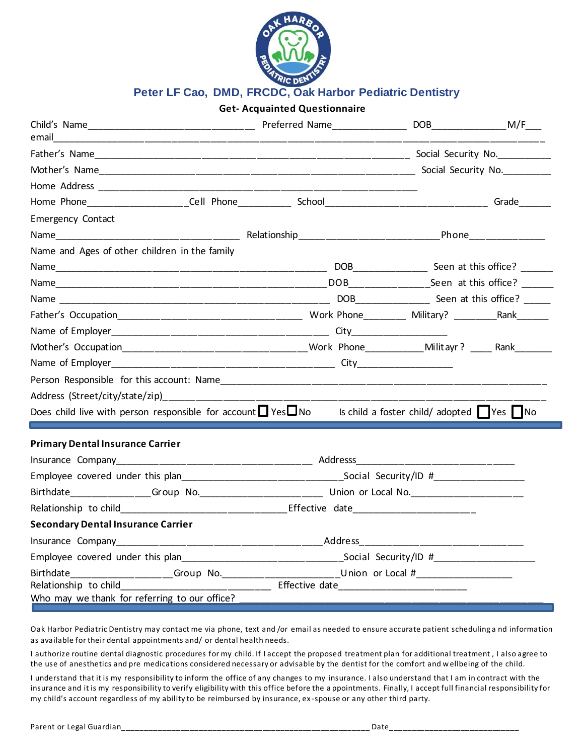

## **Peter LF Cao, DMD, FRCDC, Oak Harbor Pediatric Dentistry**

| <b>Get-Acquainted Questionnaire</b>                                                                                            |  |                                                                                                     |  |  |  |
|--------------------------------------------------------------------------------------------------------------------------------|--|-----------------------------------------------------------------------------------------------------|--|--|--|
| email                                                                                                                          |  |                                                                                                     |  |  |  |
|                                                                                                                                |  |                                                                                                     |  |  |  |
|                                                                                                                                |  |                                                                                                     |  |  |  |
|                                                                                                                                |  |                                                                                                     |  |  |  |
|                                                                                                                                |  |                                                                                                     |  |  |  |
| <b>Emergency Contact</b>                                                                                                       |  |                                                                                                     |  |  |  |
|                                                                                                                                |  |                                                                                                     |  |  |  |
| Name and Ages of other children in the family                                                                                  |  |                                                                                                     |  |  |  |
|                                                                                                                                |  |                                                                                                     |  |  |  |
|                                                                                                                                |  |                                                                                                     |  |  |  |
|                                                                                                                                |  |                                                                                                     |  |  |  |
|                                                                                                                                |  |                                                                                                     |  |  |  |
|                                                                                                                                |  |                                                                                                     |  |  |  |
|                                                                                                                                |  |                                                                                                     |  |  |  |
|                                                                                                                                |  |                                                                                                     |  |  |  |
|                                                                                                                                |  |                                                                                                     |  |  |  |
|                                                                                                                                |  |                                                                                                     |  |  |  |
| Does child live with person responsible for account $\Box$ Yes $\Box$ No Is child a foster child/ adopted $\Box$ Yes $\Box$ No |  |                                                                                                     |  |  |  |
| <b>Primary Dental Insurance Carrier</b>                                                                                        |  |                                                                                                     |  |  |  |
|                                                                                                                                |  |                                                                                                     |  |  |  |
|                                                                                                                                |  |                                                                                                     |  |  |  |
|                                                                                                                                |  |                                                                                                     |  |  |  |
|                                                                                                                                |  |                                                                                                     |  |  |  |
| <b>Secondary Dental Insurance Carrier</b>                                                                                      |  |                                                                                                     |  |  |  |
|                                                                                                                                |  |                                                                                                     |  |  |  |
|                                                                                                                                |  |                                                                                                     |  |  |  |
|                                                                                                                                |  | Birthdate_____________________Group No.__________________________Union or Local #__________________ |  |  |  |
| Relationship to child<br>Who may we thank for referring to our office?                                                         |  |                                                                                                     |  |  |  |

Oak Harbor Pediatric Dentistry may contact me via phone, text and /or email as needed to ensure accurate patient scheduling a nd information as available for their dental appointments and/ or dental health needs.

I authorize routine dental diagnostic procedures for my child. If I accept the proposed treatment plan for additional treatment , I also agree to the use of anesthetics and pre medications considered necessary or advisable by the dentist for the comfort and wellbeing of the child.

I understand that it is my responsibility to inform the office of any changes to my insurance. I also understand that I am in contract with the insurance and it is my responsibility to verify eligibility with this office before the a ppointments. Finally, I accept full financial responsibility for my child's account regardless of my ability to be reimbursed by insurance, ex -spouse or any other third party.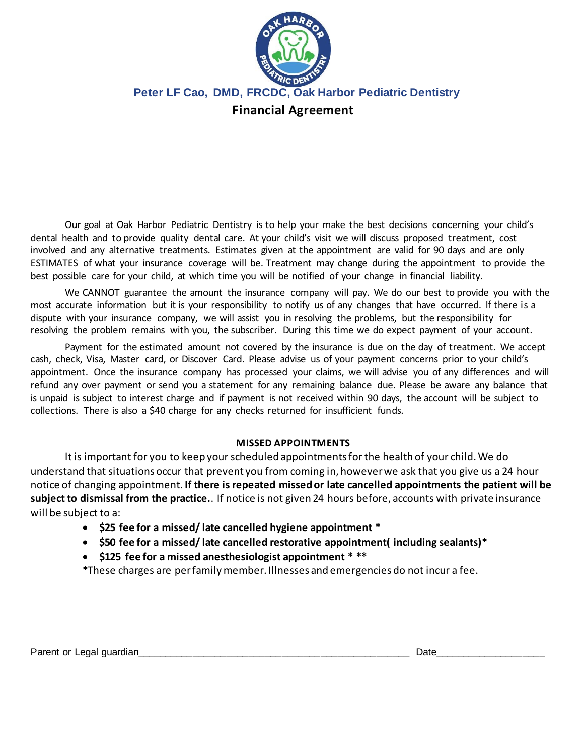

**Peter LF Cao, DMD, FRCDC, Oak Harbor Pediatric Dentistry**

## **Financial Agreement**

Our goal at Oak Harbor Pediatric Dentistry is to help your make the best decisions concerning your child's dental health and to provide quality dental care. At your child's visit we will discuss proposed treatment, cost involved and any alternative treatments. Estimates given at the appointment are valid for 90 days and are only ESTIMATES of what your insurance coverage will be. Treatment may change during the appointment to provide the best possible care for your child, at which time you will be notified of your change in financial liability.

We CANNOT guarantee the amount the insurance company will pay. We do our best to provide you with the most accurate information but it is your responsibility to notify us of any changes that have occurred. If there is a dispute with your insurance company, we will assist you in resolving the problems, but the responsibility for resolving the problem remains with you, the subscriber. During this time we do expect payment of your account.

Payment for the estimated amount not covered by the insurance is due on the day of treatment. We accept cash, check, Visa, Master card, or Discover Card. Please advise us of your payment concerns prior to your child's appointment. Once the insurance company has processed your claims, we will advise you of any differences and will refund any over payment or send you a statement for any remaining balance due. Please be aware any balance that is unpaid is subject to interest charge and if payment is not received within 90 days, the account will be subject to collections. There is also a \$40 charge for any checks returned for insufficient funds.

## **MISSED APPOINTMENTS**

It is important for you to keep your scheduled appointments for the health of your child. We do understand that situations occur that prevent you from coming in, however we ask that you give us a 24 hour notice of changing appointment. **If there is repeated missed or late cancelled appointments the patient will be subject to dismissal from the practice.**. If notice is not given 24 hours before, accounts with private insurance will be subject to a:

- **\$25 fee for a missed/ late cancelled hygiene appointment \***
- **\$50 fee for a missed/ late cancelled restorative appointment( including sealants)\***
- **\$125 fee for a missed anesthesiologist appointment \* \*\***

**\***These charges are per family member. Illnesses and emergencies do not incur a fee.

Parent or Legal guardian extending the set of the set of the set of the set of the set of the set of the set of the set of the set of the set of the set of the set of the set of the set of the set of the set of the set of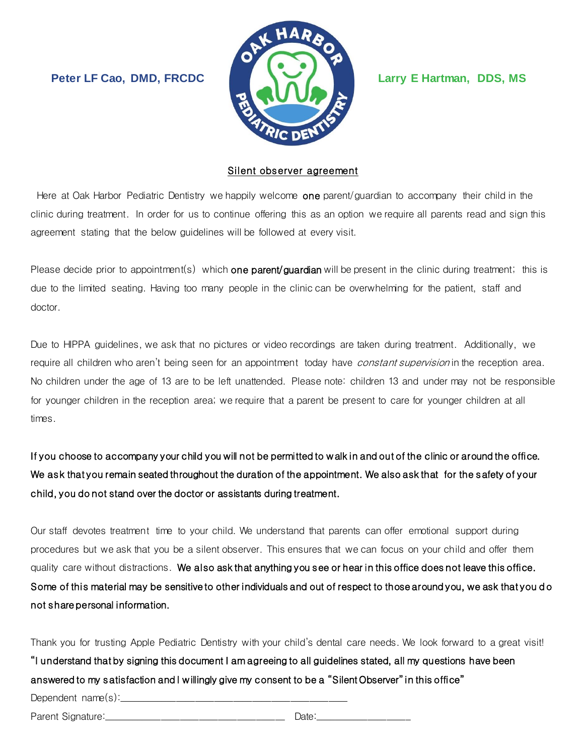**Peter LF Cao, DMD, FRCDC Larry E Hartman, DDS, MS**



## Silent observer agreement

Here at Oak Harbor Pediatric Dentistry we happily welcome one parent/guardian to accompany their child in the clinic during treatment. In order for us to continue offering this as an option we require all parents read and sign this agreement stating that the below guidelines will be followed at every visit.

Please decide prior to appointment(s) which **one parent/guardian** will be present in the clinic during treatment; this is due to the limited seating. Having too many people in the clinic can be overwhelming for the patient, staff and doctor.

Due to HIPPA guidelines, we ask that no pictures or video recordings are taken during treatment. Additionally, we require all children who aren't being seen for an appointment today have *constant supervision* in the reception area. No children under the age of 13 are to be left unattended. Please note: children 13 and under may not be responsible for younger children in the reception area; we require that a parent be present to care for younger children at all times.

If you choose to accompany your child you will not be permitted to w alk in and out of the clinic or around the office. We ask that you remain seated throughout the duration of the appointment. We also ask that for the safety of your child, you do not stand over the doctor or assistants during treatment.

Our staff devotes treatment time to your child. We understand that parents can offer emotional support during procedures but we ask that you be a silent observer. This ensures that we can focus on your child and offer them quality care without distractions. We also ask that anything you see or hear in this office does not leave this office. Some of this material may be sensitive to other individuals and out of respect to those around you, we ask that you do not share personal information.

| Thank you for trusting Apple Pediatric Dentistry with your child's dental care needs. We look forward to a great visit! |
|-------------------------------------------------------------------------------------------------------------------------|
| "I understand that by signing this document I am agreeing to all guidelines stated, all my questions have been          |
| "answered to my satisfaction and I willingly give my consent to be a "Silent Observer" in this office                   |
|                                                                                                                         |
|                                                                                                                         |